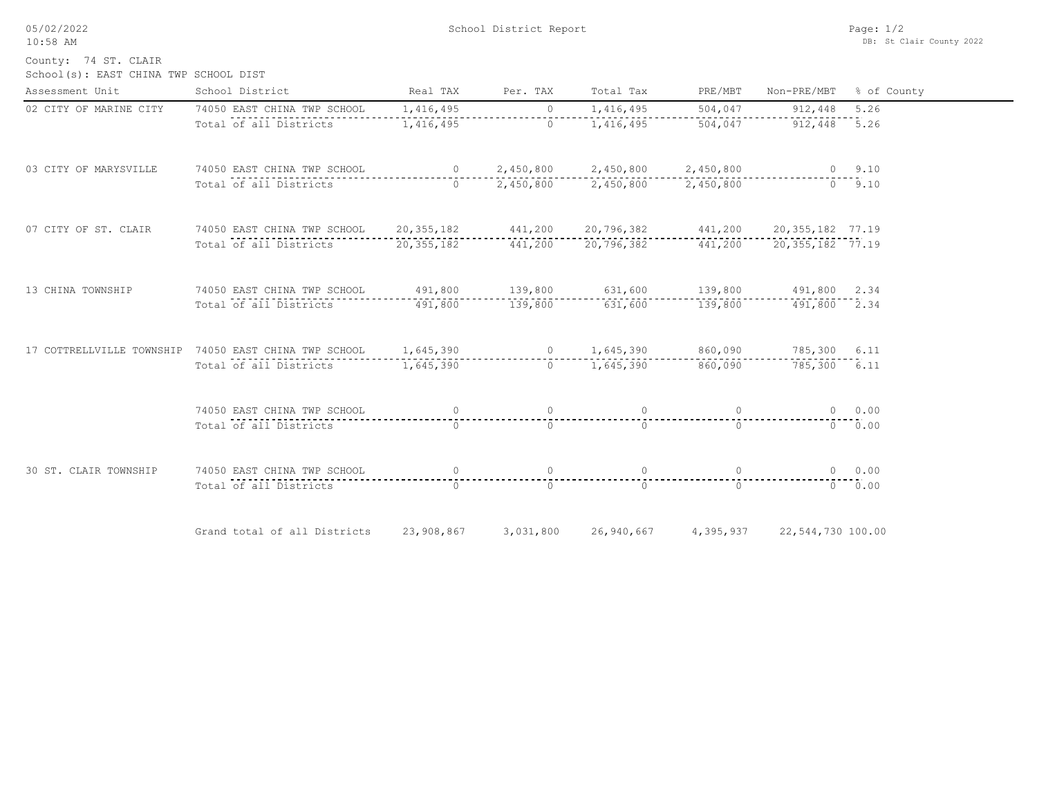05/02/2022

10:58 AM

School(s): EAST CHINA TWP SCHOOL DIST County: 74 ST. CLAIR

| Assessment Unit        | School District                                                                                  | Real TAX  | Per. TAX  | Total Tax             | PRE/MBT        |         | Non-PRE/MBT % of County |
|------------------------|--------------------------------------------------------------------------------------------------|-----------|-----------|-----------------------|----------------|---------|-------------------------|
| 02 CITY OF MARINE CITY | 74050 EAST CHINA TWP SCHOOL                                                                      | 1,416,495 |           | 0 $1,416,495$ 504,047 |                | 912,448 | 5.26                    |
|                        | Total of all Districts                                                                           |           |           |                       |                |         |                         |
| 03 CITY OF MARYSVILLE  |                                                                                                  |           |           |                       |                |         |                         |
|                        | Total of all Districts                                                                           |           |           |                       |                |         |                         |
| 07 CITY OF ST. CLAIR   | 74050 EAST CHINA TWP SCHOOL 20,355,182 441,200 20,796,382 441,200 20,355,182 77.19               |           |           |                       |                |         |                         |
|                        |                                                                                                  |           |           |                       |                |         |                         |
| 13 CHINA TOWNSHIP      | 74050 EAST CHINA TWP SCHOOL 491,800 139,800 631,600 139,800 491,800 2.34                         |           |           |                       |                |         |                         |
|                        | Total of all Districts $491,800$ $139,800$ $631,600$ $139,800$ $491,800$ $2.34$                  |           |           |                       |                |         |                         |
|                        | 17 COTTRELLVILLE TOWNSHIP 74050 EAST CHINA TWP SCHOOL 1,645,390 0 1,645,390 860,090 785,300 6.11 |           |           |                       |                |         |                         |
|                        | Total of all Districts                                                                           |           |           |                       |                |         |                         |
|                        |                                                                                                  |           |           |                       |                |         | $0 \t 0.00$             |
|                        | Total of all Districts                                                                           | $\cap$    | $\cap$    | $\cap$                | $\cap$         |         | $0 \t 0.00$             |
| 30 ST. CLAIR TOWNSHIP  | 74050 EAST CHINA TWP SCHOOL                                                                      |           |           |                       |                |         | $0 \t 0.00$             |
|                        | Total of all Districts                                                                           | $\bigcap$ | $\bigcap$ | $\overline{0}$        | $\overline{0}$ |         | $0 \t 0.00$             |
|                        | Grand total of all Districts 23,908,867 3,031,800 26,940,667 4,395,937 22,544,730 100.00         |           |           |                       |                |         |                         |